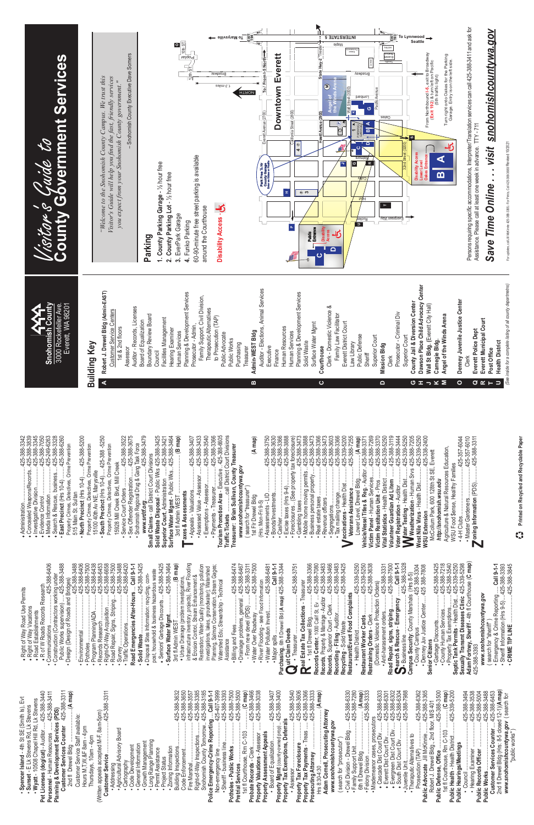For updates, call Jill McKinnie 425-388-3365, For Prints, Call 425-388-3680/ Revised 10/2021 For updates, call Jill McKinnie 425-388-3365,- For Prints, Call 425-388-3680/ Revised 10/2021

| .                                                                                                                                                                                                                                                                                                                                                                                                                                                                                                                                                                                                                                                             | $\propto$ .<br><u>—</u>                                                                                                                                                                                                                                                                                                                                                                                                                                                                                                                                                                 |                                                                                                                                                                                                                                                                                                                                                                                                                                                                                                                                 | Purch<br>P<br>Б.<br>ڲۨ<br>Recor<br>Recor<br>Recy<br>Resta<br>Recor<br>Recor<br>J                                                                                                                                                                                                                                                                                                                                                                                          | Resta<br>ਦ -<br>႞ၟၟ<br>Camp<br>Road<br>Restr                           | Senio<br>Septie<br>Sexua<br>Adam<br>ကု<br>425                                                                                                                                                                                                                                                                                                                                                                                                                                                                                        |
|---------------------------------------------------------------------------------------------------------------------------------------------------------------------------------------------------------------------------------------------------------------------------------------------------------------------------------------------------------------------------------------------------------------------------------------------------------------------------------------------------------------------------------------------------------------------------------------------------------------------------------------------------------------|-----------------------------------------------------------------------------------------------------------------------------------------------------------------------------------------------------------------------------------------------------------------------------------------------------------------------------------------------------------------------------------------------------------------------------------------------------------------------------------------------------------------------------------------------------------------------------------------|---------------------------------------------------------------------------------------------------------------------------------------------------------------------------------------------------------------------------------------------------------------------------------------------------------------------------------------------------------------------------------------------------------------------------------------------------------------------------------------------------------------------------------|---------------------------------------------------------------------------------------------------------------------------------------------------------------------------------------------------------------------------------------------------------------------------------------------------------------------------------------------------------------------------------------------------------------------------------------------------------------------------|------------------------------------------------------------------------|--------------------------------------------------------------------------------------------------------------------------------------------------------------------------------------------------------------------------------------------------------------------------------------------------------------------------------------------------------------------------------------------------------------------------------------------------------------------------------------------------------------------------------------|
| $(A$ map $)$<br>$33^+$<br>• Spencer Island - 4th St SE (Smith Is), Evt<br>• Sunset - E Lk Stevens Rd, Lk Stevens<br>• Wyatt - 10508 Chapel Hill Rd, Lk Stevens<br>Pet Licenses (dog/cat) - Auditor  425-386-34<br>-5pm)<br>.425-388-3<br>388-<br>388<br>Services (PDS)<br>425<br>Staff available:<br>3am - 4pm<br>42<br>tten appeals accepted M-F, 8am-<br><b>Customer Services Counter</b><br>Agricultural Advisory Board<br>- Human Resources<br>4pm<br>Customer Service Staff<br>Hours M, T, W, &F 8am - 4<br>Thursdays, 10am - 4pm<br>& Development<br>2nd fl Drewel Bldg<br>ustomer Service<br>$\sin a$<br>Address<br>Personnel<br>Planning<br>$\bullet$ | $-388 - 3632$<br>$-388 - 365$<br>$-388 - 3557$<br>$-388 - 3385$<br>$-388 - 3385$<br>$-141$<br>$-141$<br>$-141$<br>$-141$<br>$25.55$<br>$47.47$<br>$47.47$<br>$47.47$<br>$47.47$<br>olice Emergency-Crime Reporting<br>Right-of-Way Inspections<br>Snohomish County Tomorrow<br>• Growth Management<br>• Long Range Plaming<br>• Permit Assistance<br>Information<br>Cartography<br>Code Development<br>Information<br><b>Building Inspections</b><br>Code Enforcement.<br>Fire Marshal<br>Project Status<br>General<br>Zoning<br>ပပ<br>$\bullet$<br>$\bullet$<br>$\bullet$<br>$\bullet$ | 3999<br>-388-7500<br>map)<br>-3466<br>3038<br>3407<br>3400<br>388.<br>$388 -$<br>.<br>388<br>389<br>407<br>$\tilde{\mathbf{c}}$<br>. .<br>းပုံ မှ<br>( ၁၄<br>( ၁၄<br>425.<br>425.<br>.<br>ಇ25<br>ಇ<br>425<br>425<br>$\sim$ $\sim$ $\sim$<br>. .<br>Sheriff - business line<br>ŧ<br>Rm C-103<br><b>Property Valuations - Assessor</b><br>Property Assessment Appeals<br>- Poard of Equalization<br>Potholes - Public Works<br>1st fl Courthouse, Rm<br>Probate Records - Clerk<br>Non-emergency line<br><b>Pretrial Services</b> | 3506<br>3606<br>360733<br>-6330<br>-7280<br>425-388-<br>425-388-<br>425-388-<br>425-388-<br>≤<br>Adam Cornell, Prosecuting Attorney<br>www.snohomishcountywa.gov<br>els<br>Property Mgmt (county-owned prop)<br>Property Tax Exemptions, Deferr<br>/ Tax Foreclosure<br>/ Tax Payments - Treas<br>iting Attorney<br>search for "prosecutor"<br><b>becuting Atto</b><br>Hrs 8:30-4:30<br>Assessor.<br>Property Tax F<br>Property Tax F<br>$\overline{\phantom{0}}$<br>Pro: | $(A$ map)<br>$-388 - 3333$<br>-6365<br>425-388-<br>425-388-<br>$425 -$ | map)<br>$\frac{1}{425-339-5200}$<br>3500<br>-388-3494<br>-388-3538<br>388-3488<br>388-6453<br>388-5004<br>M/S 401<br>1)(A<br>388<br>$425$ .<br>으<br>25<br>ري<br>$\tilde{c}$<br>"""" """" """" Services Counter 425<br>2nd fi Drewel Bldg (Hrs: 8-5 closed 12<br>www.snohomishcountywa.gov (s<br>"public works")<br>₹<br>103<br>Public Defense, Office<br>1st fl Courthouse, Rm C-103<br>Public Health - Health District<br>Public HearingsMeetings<br>+ Hearing Examiner<br>Public Records Officer<br>Public Works…………………<br>Council |

- ww.snohomishcountywa.gov *www.snohomishcountywa.gov* search for "sheriff") ( search for "sheriff" )
- Emergency & Crime Reporting ..... **Call 9-1-1**
- Sheriff Information (Hrs 9-5) ....425-388-3393
- **CRIME TIP LINE** ....................425-388-3845

| Administration                                                                                                                                                        |                                    |                                                                                                                                               |
|-----------------------------------------------------------------------------------------------------------------------------------------------------------------------|------------------------------------|-----------------------------------------------------------------------------------------------------------------------------------------------|
| Evidence Control 425-388-7050<br>+ Investigative Division                                                                                                             |                                    |                                                                                                                                               |
| Snohomish<br>425-249-6263<br>Media Information.                                                                                                                       | County                             | Visitor's Guide to<br>County Government Services                                                                                              |
| 3000 Rockefel<br>Everett, WA<br>Search & Rescue, business 425-388-3328<br>East Precinct (Hrs 10-4)  425-388-6260<br>East Precinct (Hrs 10-4)                          | ller Ave                           |                                                                                                                                               |
| Property Crimes, Detectives, Crime Prevention<br>515 Main St. Sultan                                                                                                  | A 98201                            |                                                                                                                                               |
| North Precinct (Hrs 10-4)  425-388-5200                                                                                                                               |                                    |                                                                                                                                               |
| Building Key<br>Property Crimes, Detectives, Crime Prevention<br>15100 40th Av NE, Marysville                                                                         |                                    |                                                                                                                                               |
| South Precinct (Hrs 10-4) 425-388 -5250                                                                                                                               |                                    |                                                                                                                                               |
| ⋖<br>Property Crimes, Detectives, Crime Prevention                                                                                                                    | Robert J. Drewel Bldg (Admin-EAST) | "Welcome to the Snohomish County Campus. We trust this                                                                                        |
| 15928 Mill Creek Blvd, Mill Creek                                                                                                                                     | <b>Customer Service Centers</b>    | Visitor's Guide will help you find the fast, friendly services                                                                                |
| 1st & 2nd floors<br>· Service Court Orders                                                                                                                            |                                    | you expect from your Snohomish County government.                                                                                             |
| Auditor - Records,<br>Assessor<br>$1.425 - 388 - 3522$<br>1425-388-3675<br>· Sex Offender Registration.                                                               |                                    | - Snohomish County Executive Dave Somers                                                                                                      |
| Board of Equalization<br>Snohomish Regional Drug & Gang Task Force                                                                                                    | Licenses                           |                                                                                                                                               |
| Boundary Review Board<br>425-388-3479<br>www.srdtf.org425-38<br>Small Claims - call District Court Divisions                                                          |                                    | Parking                                                                                                                                       |
| Council                                                                                                                                                               |                                    |                                                                                                                                               |
| Facilities Management<br>Solid Waste Disposal - Public Wks 425-388-3425<br>Superior Court, Administration 425-388-3421<br>Surface Water Mgmt - Public Wks425-388-3464 |                                    | 1. County Parking Garage - 1/2 hour free                                                                                                      |
| Hearing Examiner                                                                                                                                                      |                                    | 2. County Parking Lot - 1/2 hour free                                                                                                         |
| Human Services<br>$\dots$ (B map)                                                                                                                                     |                                    | $\circ$<br>3. EverPark Garage                                                                                                                 |
| axes & Assessments                                                                                                                                                    | Planning & Development Services    | $10th$ ST.<br>Poplar<br>4. Funko Parking                                                                                                      |
| Prosecutor - Admin                                                                                                                                                    |                                    | $\frac{1}{2}$ th<br>60-90-minute free street parking is available                                                                             |
| Assessed Value - Assessor  425-388-3433                                                                                                                               | Family Support, Civil Division,    | around the Courthouse                                                                                                                         |
| • Exemptions - Assessor 425-388-3540                                                                                                                                  | Therapeutic Alternatives           |                                                                                                                                               |
| to Prosecution (<br>· Payments - Treasurer 425-388-3366                                                                                                               | TAP)                               | Broadway                                                                                                                                      |
| Public Advocate<br>Tourism Promotion Area - Executive  425-388-6605<br>call District Court Divisions<br>Traffic Tickets                                               |                                    | 1.3 miles<br>Disability Access - C                                                                                                            |
| Public Works<br>Treasurer: Brian Sullivan, County Treasurer                                                                                                           |                                    |                                                                                                                                               |
| Purchasing<br>www.snohomishcountywa.gov                                                                                                                               |                                    | ← ellivevisM oT                                                                                                                               |
| Treasurer<br>(search for "treasurer")                                                                                                                                 |                                    | - 동호<br>이 문화<br><b>HTRON</b>                                                                                                                  |
| Admin-WEST Bldg<br>m<br>$(A \text{ map})$<br>1st Fir Drewel Bidg                                                                                                      |                                    |                                                                                                                                               |
| Auditor - Elections,<br>(Hrs: Mon-Fri 9-5)                                                                                                                            | Animal Services                    | To / From 1-5 North-<br>Everett Avenue (2700)<br>Park Free 1/4 Hr<br>County Garage<br>Ener on Osles or Pacific                                |
| Executive<br>425-388-3750<br>Assessments - LID                                                                                                                        |                                    |                                                                                                                                               |
| Finance<br>· Bonds/Investments425-388-3630<br>$425 - 388 - 3366$<br>Cashier                                                                                           |                                    | Everett<br><b>Downtown</b>                                                                                                                    |
| Human Resources<br>425-388-3888                                                                                                                                       |                                    | $\pm$                                                                                                                                         |
| Human Services<br>· Foreclosures  (See property tax foreclosure)                                                                                                      |                                    | California Street (2800)<br>$\mathbf{a}_i$                                                                                                    |
|                                                                                                                                                                       | Planning & Development Services    | $\odot$<br>4                                                                                                                                  |
| Solid Waste                                                                                                                                                           |                                    | $\circledcirc$                                                                                                                                |
| Surface Water Mgmt                                                                                                                                                    |                                    | Public<br>Entrance                                                                                                                            |
| Courthouse<br>ပ                                                                                                                                                       |                                    | State Hwy-2 Trest<br>$\circledcirc$<br>(2900)<br>itt Avenue<br>Disability<br>Access                                                           |
|                                                                                                                                                                       | Clerk - Domestic Violence &        | <b>c</b><br>≏                                                                                                                                 |
|                                                                                                                                                                       | Family Law Facilitator             | Maple<br>$\overline{O}$<br>$\circ$<br>$\blacktriangleright$                                                                                   |
| Everett District Court<br>Law Library<br>425-388-7255<br>Î<br>Veterans Assistance                                                                                     |                                    | <b>B ETATCRETNI</b><br>Permanente<br>Permanente                                                                                               |
| Public Defense                                                                                                                                                        |                                    | ပ<br>$\boxed{\sigma}$<br>$\overline{\mathbf{P}}$                                                                                              |
| Sheriff                                                                                                                                                               |                                    | <b>Broadway</b><br>Lombard<br>G<br>⋖<br>$\overline{\bullet}$<br>$\overline{\mathbf{a}}$<br><b>Wetmore</b><br>Colp)<br>$16$ H<br><b>Rucker</b> |
| Superior Court<br>Victim Panel - Human Services 425-388-7269                                                                                                          |                                    | 5900<br>$\overline{\phantom{a}}$<br>$\overline{\phantom{a}}$                                                                                  |
| <b>Mission Bldg</b><br>$\Omega$<br>Victim Restitution Unit - Pros  425-388-3370<br>Vital Statistics - Health District  425-339-5250                                   |                                    | Ð                                                                                                                                             |
| Clerk<br>Volunteer Guardian Ad Litem  425-388-3119                                                                                                                    |                                    | HOTEL<br>trenev<br>Inoitat2<br><b>THIMS</b><br><b>Oakes</b><br>$\vdash$<br>Evergreen Way                                                      |
| Prosecutor - Crimin<br>$1.1111425 - 388 - 3444$<br>Voter Registration - Auditor                                                                                       | Ial Div                            | 절증                                                                                                                                            |
| Superior Court<br>425-339-5250<br>ater Testing - Health Dist<br>Weatherization - Human Srvs                                                                           |                                    | To Lynnwood →<br>└──Seattle<br>$\rightarrow$<br>32nd Street (3200)                                                                            |
| 425-388-7205                                                                                                                                                          | County Jail & Diversion Center     | ↞<br><b>Disability Access</b>                                                                                                                 |
| Dawson Place Child<br>ロェ<br>West Nile Virus - Health Dist425-339-5250<br>425-338-2400                                                                                 | Advocacy Center                    |                                                                                                                                               |
| Wall St Bldg. (Everett<br>$\overline{\phantom{0}}$<br><b>WSU Extension</b>                                                                                            | City Hall)                         | From Northbound I–5, exit to Broadway<br>(Exit 192) & turn left on Pacific<br>(5th traffic light)                                             |
| Carnegie Bldg.<br>$\geq$<br>http://snohomish.wsu.edu                                                                                                                  |                                    | <u>ന</u>                                                                                                                                      |
| Angel of the Winds Arena<br>Σ<br>Agriculture & Natural Resources Education,                                                                                           |                                    | Turn right onto Oakes for the Parking<br>Garage. Entry is on the left side.<br>न्ऐ                                                            |
| WSU Food \$ense, Healthy Families                                                                                                                                     |                                    |                                                                                                                                               |
| Clerk<br>0<br>425-357-6044<br>.4-H Clubs                                                                                                                              | Denney Juvenile Justice Center     |                                                                                                                                               |
| Everett Police Dept<br>σ<br>Toning Information (PDS)425-388-3311<br>$1000-125-357-10010$<br>Master Gardeners                                                          |                                    | Persons requiring specific accommodations, Interpreter/Translation services can call 425-388-3411 and ask for                                 |
| Everett Municipal Court<br>$\alpha$                                                                                                                                   |                                    | Assistance. Please call at least one week in advance. TTY - 711                                                                               |
| Post Office                                                                                                                                                           |                                    | <u>snohomishcountywa.gov</u><br>. visit<br>à,<br>Save Time Online.                                                                            |
| <b>Health District</b><br>$\Rightarrow$                                                                                                                               |                                    |                                                                                                                                               |
| inside for a complete listing of                                                                                                                                      | all county departmetns)            | Call 425-388-3680/ Revised 10/2021                                                                                                            |
|                                                                                                                                                                       |                                    |                                                                                                                                               |

Senior Citizens<br>• Garbage Discounts...................425-388-3425<br>• County Human Services...........425-388-3425<br>• Property Tax Exemptions..........425-388-3540<br>Septic Tank Permits - Health Dist...425-389-5250<br>Sexually Tr Emergency & Crime Reporting ..... Call 9-1-1<br>Sheriff Information (Hrs 9-5) ....425-388-3393<br>CRIME TIP LINE ......................425-388-3845  $425 - 388 - 3425$ + Seniors' Garbage Discounts...425-388-3425<br>Surface Water Mgmt.............425-388-3464 - Billing and Fees............................425-388-6474<br>- Drainage problems, general...425-388-6467<br>- From new devel (PDS)........425-388-3311<br>• Water Over Roadway 425-388-6406 • Survey .....................................425-388-3488 deu B. **Quit Claim Deeds** • Treasurer ............................ 425-388-3751  $425 - 388 - 375$ recycling, com-Research **Permits** 

Printed on Recycled and Recyclable Paper **Printed on Recycled and Recyclable Paper**  $\mathbf{c}_i^2$ 

- ♦ Right of Way Road Use Permits + Right of Way Road Use P<br>+ Right of Way Vacations<br>+ Road Establishments<br>+ C of W Roads Records R<br>• Communications ......................
	- ♦ Right of Way Vacations
- ♦ Road Establishments ♦ R of W Roads Records Research
- Communications .....................425-388-6406
- Construction (Contractors working under<br>Public Works supervision).....425-388-3488 Public Works supervision) .....425-388-3488 • Construction (Contractors working under Construction (Contractors
	- Design (Design of Roads and Bridges) ...............................................425-388-3488
- Environmental .........................425-388-6406
- Potholes ..................................425-388-7500 • Program Planning/ADA ...........425-388-6438
	- Records Research ..................425-388-6453
	- Right-Of-Way Acquisition ........425-388-6658
		- Road Repair, Signs, Striping ...425-388-7500
- Traffi c Operations ....................425-388-6420
- coad Emergencies After-Hours ... Call 9-1-1 • **Solid Waste** ............................425-388-3425 **Road Emergencies After-Hours** ... **Call 9-1-1**
- ♦ Seniors' Garbage Discounts ...425-388-3425 post, household & business hazardous waste post, household & business hazardous waste ♦ Disposal Sites Information: recycling, com- Disposal Sites Information:
- 3rd fl Admin WEST ..........................(**B map**) ♦ Urban Drainage (problem investigations, • **Surface Water Mgmt** ..............425-388-3464 3rd fl Admin WEST
- infrastructure inventory, projects), River Flooding Restoration; Water Quality (monitoring, pollution<br>investigations, lakes, groundwater); Watershed Restoration; Water Quality (monitoring, pollution Planning, Salmon Conservation, Stream Gages; Planning, Salmon Conservation, Stream Gages;<br>Watershed Edu; Stewardship - Technical investigations, lakes, groundwater); Watershed & Erosion Control, Stream Enhancement & Watershed Edu; Stewardship - Technical Assistance
	- Billing and Fees .....................425-388-6474 • Drainage problems, general ..425-388-6467
		- From new devel (PDS) ....... 425-388-3311 • Water Over Roadway ...........425-388-7500
			- River Flooding see Flood Information • River Flooding - see Flood Information
- Water Pollution Invest ............425-388-6481
- Major spills .................................. **Call 9-1-1 Purchasing**, 6th fl Drewel Bld (**A map**) 425-388-3344

**Peal Estate Tax Collections - Treasurer**<br>
1st fi Drewel Bldg.................425-388-3366<br>
scords Center, 1000 Calif St, Ev. ...425-388-7080<br>
cords, Property & Marriage - Auditor 425-388-7080<br>
scords, Superior Court - Cle **Real Estate Tax Collections** - Treasurer • 1st fl Drewel Bldg ................ 425-388-3366 **Records Center**, 1000 Calif St, Ev .... 425-388-7080 **Records**, Property & Marriage - Auditor 425-388-3483 **Records**, Superior Court - Clerk ...... 425-388-3466 **Recording** - **Filing** - Auditor ............. 425-388-3483 **Recycling** - Solid Waste .................. 425-388-3425 • Health District ......................... 425-339-5250 urant/Event Food Complaints **Restaurant/Event Food Complaints** · Treasurer ...

- **Restaurant Worker Cards** .............. 425-339-5250
- **Restraining Orders** Clerk ............. 425-388-3638 (Domestic Violence Protection Orders) • Anti-harassment orders............ 425-388-3331
	- **Road Repair, signs, striping** .......... 425-388-7500 **Search & Rescue** - **Emergency** ........**Call 9-1-1** • Business line ............................ 425-388-3328
		- **Campus Security**: County Marshals (Hrs 8-5) • County Campus ..................... 425 388-3304 • Denney Juv Justice Center ..... 425 388-7808
			- **or Citizens Senior Citizens**
- Garbage Discounts .................. 425-388-3425 • County Human Services .......... 425-388-7218
	-

 • Property Tax Exemptions ......... 425-388-3540 **Septic Tank Permits** - Health Dist ... 425-339-5250 **Sexually Transmt Diseases Clinic** 425-339-5298 **Adam Fortney, Sheriff** - 4th fl Courthouse (**C map**) 425-388-3393